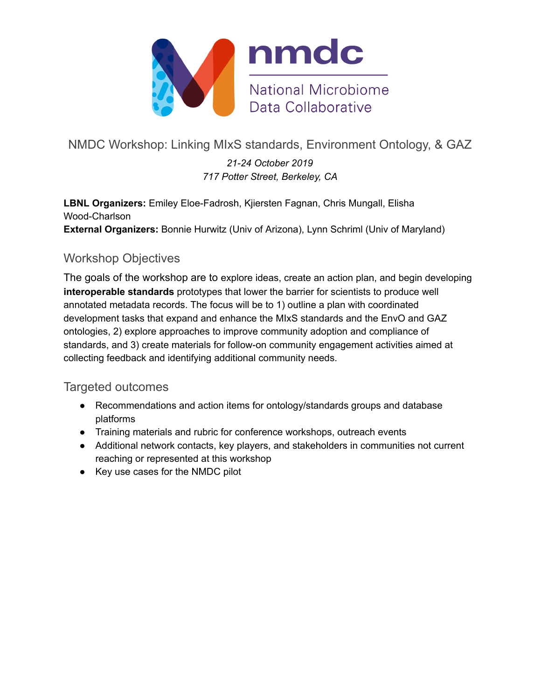

NMDC Workshop: Linking MIxS standards, Environment Ontology, & GAZ

*21-24 October 2019 717 Potter Street, Berkeley, CA*

**LBNL Organizers:** Emiley Eloe-Fadrosh, Kjiersten Fagnan, Chris Mungall, Elisha Wood-Charlson **External Organizers:** Bonnie Hurwitz (Univ of Arizona), Lynn Schriml (Univ of Maryland)

# Workshop Objectives

The goals of the workshop are to explore ideas, create an action plan, and begin developing **interoperable standards** prototypes that lower the barrier for scientists to produce well annotated metadata records. The focus will be to 1) outline a plan with coordinated development tasks that expand and enhance the MIxS standards and the EnvO and GAZ ontologies, 2) explore approaches to improve community adoption and compliance of standards, and 3) create materials for follow-on community engagement activities aimed at collecting feedback and identifying additional community needs.

Targeted outcomes

- Recommendations and action items for ontology/standards groups and database platforms
- Training materials and rubric for conference workshops, outreach events
- Additional network contacts, key players, and stakeholders in communities not current reaching or represented at this workshop
- Key use cases for the NMDC pilot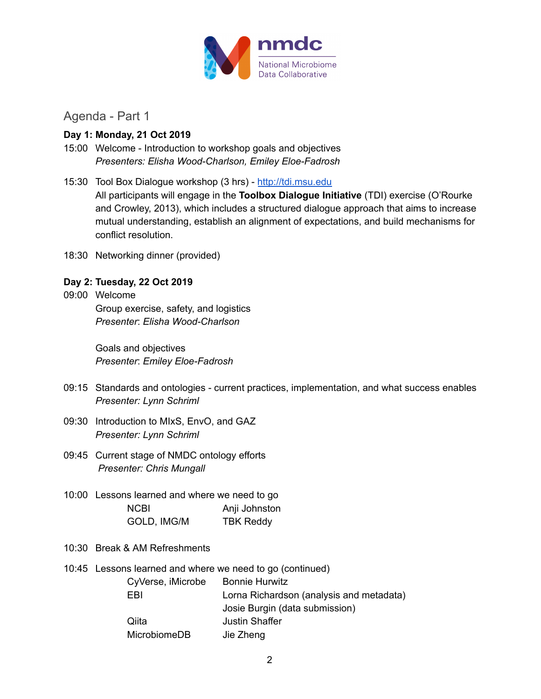

Agenda - Part 1

## **Day 1: Monday, 21 Oct 2019**

- 15:00 Welcome Introduction to workshop goals and objectives *Presenters: Elisha Wood-Charlson, Emiley Eloe-Fadrosh*
- 15:30 Tool Box Dialogue workshop (3 hrs) [http://tdi.msu.edu](http://tdi.msu.edu/) All participants will engage in the **Toolbox Dialogue Initiative** (TDI) exercise (O'Rourke and Crowley, 2013), which includes a structured dialogue approach that aims to increase mutual understanding, establish an alignment of expectations, and build mechanisms for conflict resolution.
- 18:30 Networking dinner (provided)

# **Day 2: Tuesday, 22 Oct 2019**

09:00 Welcome Group exercise, safety, and logistics *Presenter*: *Elisha Wood-Charlson*

> Goals and objectives *Presenter*: *Emiley Eloe-Fadrosh*

- 09:15 Standards and ontologies current practices, implementation, and what success enables *Presenter: Lynn Schriml*
- 09:30 Introduction to MIxS, EnvO, and GAZ *Presenter: Lynn Schriml*
- 09:45 Current stage of NMDC ontology efforts *Presenter: Chris Mungall*
- 10:00 Lessons learned and where we need to go NCBI Anji Johnston GOLD, IMG/M TBK Reddy
- 10:30 Break & AM Refreshments
- 10:45 Lessons learned and where we need to go (continued)

| CyVerse, iMicrobe   | <b>Bonnie Hurwitz</b>                    |
|---------------------|------------------------------------------|
| FBI                 | Lorna Richardson (analysis and metadata) |
|                     | Josie Burgin (data submission)           |
| Qiita               | <b>Justin Shaffer</b>                    |
| <b>MicrobiomeDB</b> | Jie Zheng                                |
|                     |                                          |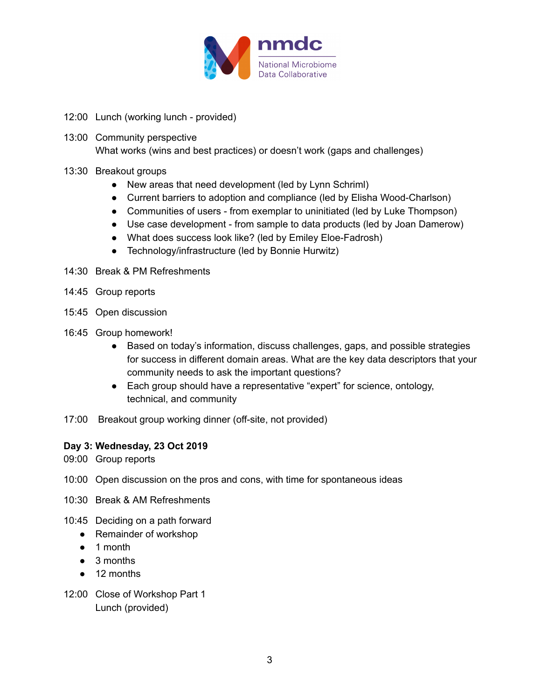

- 12:00 Lunch (working lunch provided)
- 13:00 Community perspective What works (wins and best practices) or doesn't work (gaps and challenges)
- 13:30 Breakout groups
	- New areas that need development (led by Lynn Schriml)
	- Current barriers to adoption and compliance (led by Elisha Wood-Charlson)
	- Communities of users from exemplar to uninitiated (led by Luke Thompson)
	- Use case development from sample to data products (led by Joan Damerow)
	- What does success look like? (led by Emiley Eloe-Fadrosh)
	- Technology/infrastructure (led by Bonnie Hurwitz)
- 14:30 Break & PM Refreshments
- 14:45 Group reports
- 15:45 Open discussion
- 16:45 Group homework!
	- Based on today's information, discuss challenges, gaps, and possible strategies for success in different domain areas. What are the key data descriptors that your community needs to ask the important questions?
	- Each group should have a representative "expert" for science, ontology, technical, and community
- 17:00 Breakout group working dinner (off-site, not provided)

#### **Day 3: Wednesday, 23 Oct 2019**

- 09:00 Group reports
- 10:00 Open discussion on the pros and cons, with time for spontaneous ideas
- 10:30 Break & AM Refreshments
- 10:45 Deciding on a path forward
	- Remainder of workshop
	- 1 month
	- 3 months
	- 12 months
- 12:00 Close of Workshop Part 1 Lunch (provided)